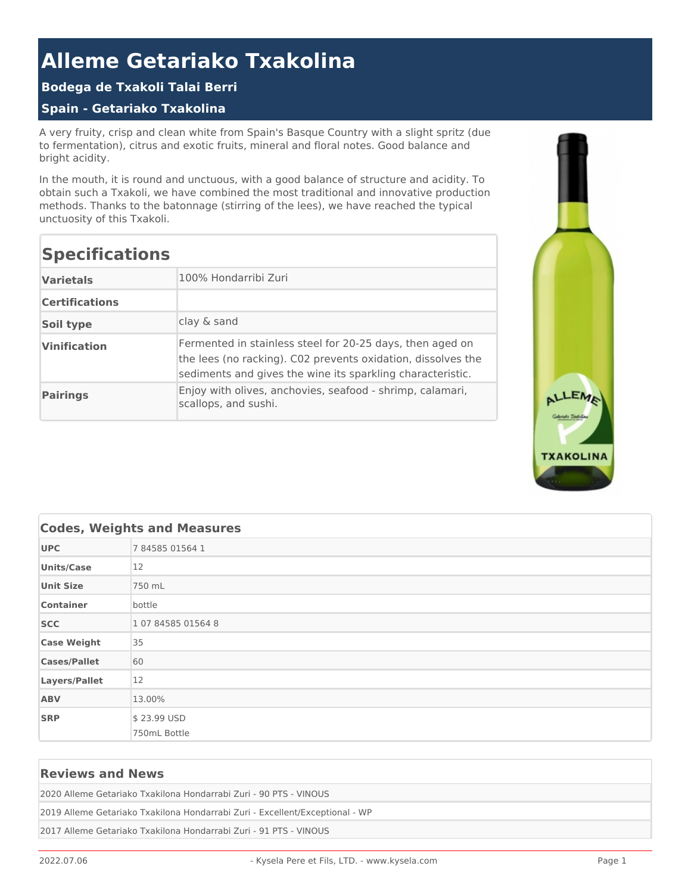# **Alleme Getariako Txakolina**

### **Bodega de Txakoli Talai Berri**

#### **Spain - Getariako Txakolina**

A very fruity, crisp and clean white from Spain's Basque Country with a slight spritz (due to fermentation), citrus and exotic fruits, mineral and floral notes. Good balance and bright acidity.

In the mouth, it is round and unctuous, with a good balance of structure and acidity. To obtain such a Txakoli, we have combined the most traditional and innovative production methods. Thanks to the batonnage (stirring of the lees), we have reached the typical unctuosity of this Txakoli.

## **Specifications**

| <b>Varietals</b>      | 100% Hondarribi Zuri                                                                                                                                                                    |
|-----------------------|-----------------------------------------------------------------------------------------------------------------------------------------------------------------------------------------|
| <b>Certifications</b> |                                                                                                                                                                                         |
| Soil type             | clay & sand                                                                                                                                                                             |
| <b>Vinification</b>   | Fermented in stainless steel for 20-25 days, then aged on<br>the lees (no racking). C02 prevents oxidation, dissolves the<br>sediments and gives the wine its sparkling characteristic. |
| <b>Pairings</b>       | Enjoy with olives, anchovies, seafood - shrimp, calamari,<br>scallops, and sushi.                                                                                                       |



| <b>Codes, Weights and Measures</b> |                    |  |  |  |  |
|------------------------------------|--------------------|--|--|--|--|
| <b>UPC</b>                         | 7 84585 01564 1    |  |  |  |  |
| <b>Units/Case</b>                  | 12                 |  |  |  |  |
| <b>Unit Size</b>                   | 750 mL             |  |  |  |  |
| <b>Container</b>                   | bottle             |  |  |  |  |
| <b>SCC</b>                         | 1 07 84585 01564 8 |  |  |  |  |
| <b>Case Weight</b>                 | 35                 |  |  |  |  |
| <b>Cases/Pallet</b>                | 60                 |  |  |  |  |
| Layers/Pallet                      | 12                 |  |  |  |  |
| <b>ABV</b>                         | 13.00%             |  |  |  |  |
| <b>SRP</b>                         | \$23.99 USD        |  |  |  |  |
|                                    | 750mL Bottle       |  |  |  |  |

#### **Reviews and News**

2020 Alleme Getariako Txakilona Hondarrabi Zuri - 90 PTS - VINOUS

2019 Alleme Getariako Txakilona Hondarrabi Zuri - Excellent/Exceptional - WP

2017 Alleme Getariako Txakilona Hondarrabi Zuri - 91 PTS - VINOUS